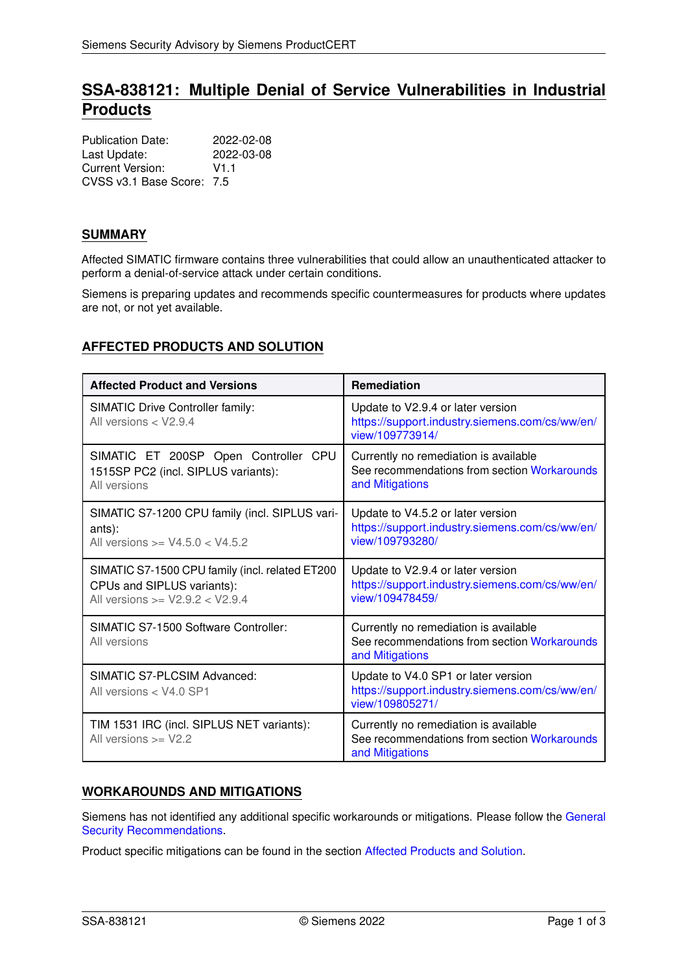# **SSA-838121: Multiple Denial of Service Vulnerabilities in Industrial Products**

| <b>Publication Date:</b>  | 2022-02-08 |
|---------------------------|------------|
| Last Update:              | 2022-03-08 |
| Current Version:          | V1 1       |
| CVSS v3.1 Base Score: 7.5 |            |

## **SUMMARY**

Affected SIMATIC firmware contains three vulnerabilities that could allow an unauthenticated attacker to perform a denial-of-service attack under certain conditions.

Siemens is preparing updates and recommends specific countermeasures for products where updates are not, or not yet available.

# <span id="page-0-2"></span>**AFFECTED PRODUCTS AND SOLUTION**

| <b>Affected Product and Versions</b>                                                                                 | <b>Remediation</b>                                                                                       |
|----------------------------------------------------------------------------------------------------------------------|----------------------------------------------------------------------------------------------------------|
| <b>SIMATIC Drive Controller family:</b><br>All versions < V2.9.4                                                     | Update to V2.9.4 or later version<br>https://support.industry.siemens.com/cs/ww/en/<br>view/109773914/   |
| SIMATIC ET 200SP Open Controller CPU<br>1515SP PC2 (incl. SIPLUS variants):<br>All versions                          | Currently no remediation is available<br>See recommendations from section Workarounds<br>and Mitigations |
| SIMATIC S7-1200 CPU family (incl. SIPLUS vari-<br>ants):<br>All versions $>= V4.5.0 < V4.5.2$                        | Update to V4.5.2 or later version<br>https://support.industry.siemens.com/cs/ww/en/<br>view/109793280/   |
| SIMATIC S7-1500 CPU family (incl. related ET200<br>CPUs and SIPLUS variants):<br>All versions $>=$ V2.9.2 $<$ V2.9.4 | Update to V2.9.4 or later version<br>https://support.industry.siemens.com/cs/ww/en/<br>view/109478459/   |
| SIMATIC S7-1500 Software Controller:<br>All versions                                                                 | Currently no remediation is available<br>See recommendations from section Workarounds<br>and Mitigations |
| SIMATIC S7-PLCSIM Advanced:<br>All versions $<$ V4.0 SP1                                                             | Update to V4.0 SP1 or later version<br>https://support.industry.siemens.com/cs/ww/en/<br>view/109805271/ |
| TIM 1531 IRC (incl. SIPLUS NET variants):<br>All versions $>=$ V2.2                                                  | Currently no remediation is available<br>See recommendations from section Workarounds<br>and Mitigations |

# <span id="page-0-0"></span>**WORKAROUNDS AND MITIGATIONS**

Siemens has not identified any additional specific workarounds or mitigations. Please follow the [General](#page-0-1) [Security Recommendations.](#page-0-1)

<span id="page-0-1"></span>Product specific mitigations can be found in the section [Affected Products and Solution.](#page-0-2)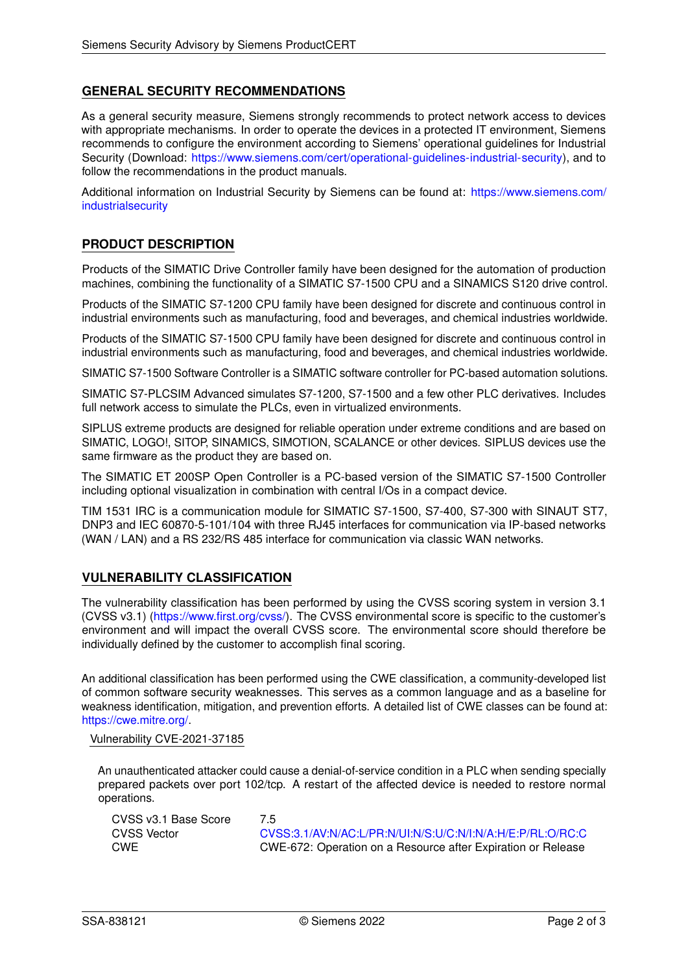# **GENERAL SECURITY RECOMMENDATIONS**

As a general security measure, Siemens strongly recommends to protect network access to devices with appropriate mechanisms. In order to operate the devices in a protected IT environment, Siemens recommends to configure the environment according to Siemens' operational guidelines for Industrial Security (Download: [https://www.siemens.com/cert/operational-guidelines-industrial-security\)](https://www.siemens.com/cert/operational-guidelines-industrial-security), and to follow the recommendations in the product manuals.

Additional information on Industrial Security by Siemens can be found at: [https://www.siemens.com/](https://www.siemens.com/industrialsecurity) [industrialsecurity](https://www.siemens.com/industrialsecurity)

### **PRODUCT DESCRIPTION**

Products of the SIMATIC Drive Controller family have been designed for the automation of production machines, combining the functionality of a SIMATIC S7-1500 CPU and a SINAMICS S120 drive control.

Products of the SIMATIC S7-1200 CPU family have been designed for discrete and continuous control in industrial environments such as manufacturing, food and beverages, and chemical industries worldwide.

Products of the SIMATIC S7-1500 CPU family have been designed for discrete and continuous control in industrial environments such as manufacturing, food and beverages, and chemical industries worldwide.

SIMATIC S7-1500 Software Controller is a SIMATIC software controller for PC-based automation solutions.

SIMATIC S7-PLCSIM Advanced simulates S7-1200, S7-1500 and a few other PLC derivatives. Includes full network access to simulate the PLCs, even in virtualized environments.

SIPLUS extreme products are designed for reliable operation under extreme conditions and are based on SIMATIC, LOGO!, SITOP, SINAMICS, SIMOTION, SCALANCE or other devices. SIPLUS devices use the same firmware as the product they are based on.

The SIMATIC ET 200SP Open Controller is a PC-based version of the SIMATIC S7-1500 Controller including optional visualization in combination with central I/Os in a compact device.

TIM 1531 IRC is a communication module for SIMATIC S7-1500, S7-400, S7-300 with SINAUT ST7, DNP3 and IEC 60870-5-101/104 with three RJ45 interfaces for communication via IP-based networks (WAN / LAN) and a RS 232/RS 485 interface for communication via classic WAN networks.

### **VULNERABILITY CLASSIFICATION**

The vulnerability classification has been performed by using the CVSS scoring system in version 3.1 (CVSS v3.1) [\(https://www.first.org/cvss/\)](https://www.first.org/cvss/). The CVSS environmental score is specific to the customer's environment and will impact the overall CVSS score. The environmental score should therefore be individually defined by the customer to accomplish final scoring.

An additional classification has been performed using the CWE classification, a community-developed list of common software security weaknesses. This serves as a common language and as a baseline for weakness identification, mitigation, and prevention efforts. A detailed list of CWE classes can be found at: [https://cwe.mitre.org/.](https://cwe.mitre.org/)

#### Vulnerability CVE-2021-37185

An unauthenticated attacker could cause a denial-of-service condition in a PLC when sending specially prepared packets over port 102/tcp. A restart of the affected device is needed to restore normal operations.

| CVSS v3.1 Base Score | 75                                                           |
|----------------------|--------------------------------------------------------------|
| CVSS Vector          | CVSS:3.1/AV:N/AC:L/PR:N/UI:N/S:U/C:N/I:N/A:H/E:P/RL:O/RC:C   |
| CWE                  | CWE-672: Operation on a Resource after Expiration or Release |